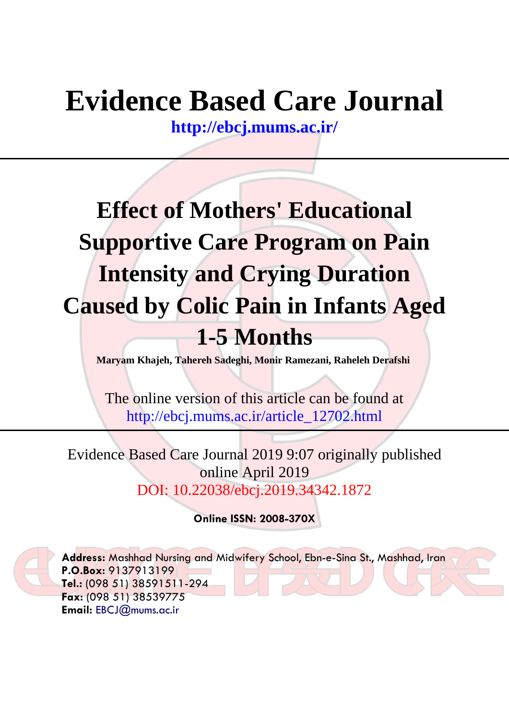# **Evidence Based Care Journal**

**<http://ebcj.mums.ac.ir/>**

## **Effect of Mothers' Educational Supportive Care Program on Pain Intensity and Crying Duration Caused by Colic Pain in Infants Aged 1-5 Months**

**Maryam Khajeh, Tahereh Sadeghi, Monir Ramezani, Raheleh Derafshi** 

The online version of this article can be found at http://ebcj.mums.ac.ir/article\_12702.html

Evidence Based Care Journal 2019 9:07 originally published online April 2019 DOI: 10.22038/ebcj.2019.34342.1872

**Online ISSN: 2008-370X**

**Address:** Mashhad Nursing and Midwifery School, Ebn-e-Sina St., Mashhad, Iran **P.O.Box:** 9137913199 **Tel.:** (098 51) 38591511-294 **Fax:** (098 51) 38539775 **Email:** [EBCJ@mums.ac.ir](mailto:EBCJ@mums.ac.ir)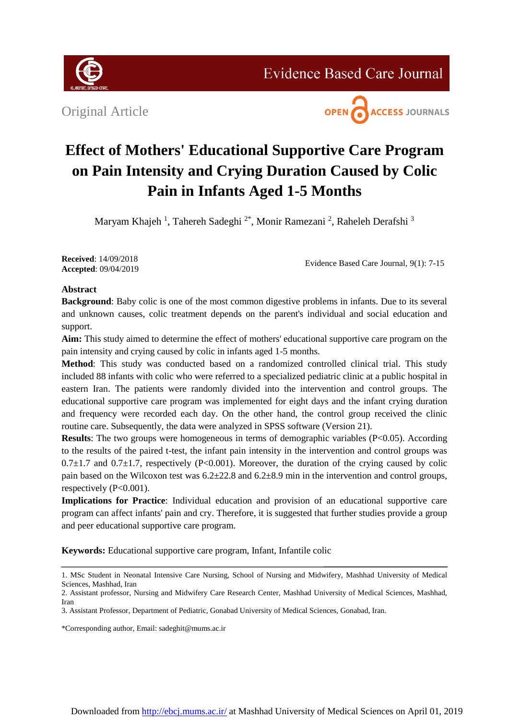

**Evidence Based Care Journal** 



### **Effect of Mothers' Educational Supportive Care Program on Pain Intensity and Crying Duration Caused by Colic Pain in Infants Aged 1-5 Months**

Maryam Khajeh<sup>1</sup>, Tahereh Sadeghi<sup>2\*</sup>, Monir Ramezani<sup>2</sup>, Raheleh Derafshi<sup>3</sup>

**Received**: 14/09/2018 **Accepted**: 09/04/2019

Evidence Based Care Journal, 9(1): 7-15

### **Abstract**

**Background**: Baby colic is one of the most common digestive problems in infants. Due to its several and unknown causes, colic treatment depends on the parent's individual and social education and support.

**Aim:** This study aimed to determine the effect of mothers' educational supportive care program on the pain intensity and crying caused by colic in infants aged 1-5 months.

**Method**: This study was conducted based on a randomized controlled clinical trial. This study included 88 infants with colic who were referred to a specialized pediatric clinic at a public hospital in eastern Iran. The patients were randomly divided into the intervention and control groups. The educational supportive care program was implemented for eight days and the infant crying duration and frequency were recorded each day. On the other hand, the control group received the clinic routine care. Subsequently, the data were analyzed in SPSS software (Version 21).

**Results**: The two groups were homogeneous in terms of demographic variables (P<0.05). According to the results of the paired t-test, the infant pain intensity in the intervention and control groups was  $0.7\pm1.7$  and  $0.7\pm1.7$ , respectively (P<0.001). Moreover, the duration of the crying caused by colic pain based on the Wilcoxon test was 6.2±22.8 and 6.2±8.9 min in the intervention and control groups, respectively (P<0.001).

**Implications for Practice**: Individual education and provision of an educational supportive care program can affect infants' pain and cry. Therefore, it is suggested that further studies provide a group and peer educational supportive care program.

**Keywords:** Educational supportive care program, Infant, Infantile colic

\*Corresponding author, Email: sadeghit@mums.ac.ir

<sup>1.</sup> MSc Student in Neonatal Intensive Care Nursing, School of Nursing and Midwifery, Mashhad University of Medical Sciences, Mashhad, Iran

<sup>2.</sup> Assistant professor, Nursing and Midwifery Care Research Center, Mashhad University of Medical Sciences, Mashhad, Iran

<sup>3.</sup> Assistant Professor, Department of Pediatric, Gonabad University of Medical Sciences, Gonabad, Iran.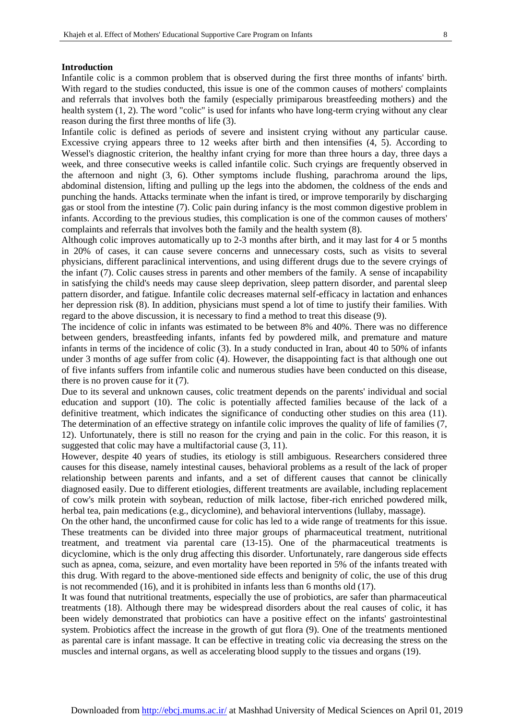#### **Introduction**

Infantile colic is a common problem that is observed during the first three months of infants' birth. With regard to the studies conducted, this issue is one of the common causes of mothers' complaints and referrals that involves both the family (especially primiparous breastfeeding mothers) and the health system (1, 2). The word "colic" is used for infants who have long-term crying without any clear reason during the first three months of life (3).

Infantile colic is defined as periods of severe and insistent crying without any particular cause. Excessive crying appears three to 12 weeks after birth and then intensifies (4, 5). According to Wessel's diagnostic criterion, the healthy infant crying for more than three hours a day, three days a week, and three consecutive weeks is called infantile colic. Such cryings are frequently observed in the afternoon and night (3, 6). Other symptoms include flushing, parachroma around the lips, abdominal distension, lifting and pulling up the legs into the abdomen, the coldness of the ends and punching the hands. Attacks terminate when the infant is tired, or improve temporarily by discharging gas or stool from the intestine (7). Colic pain during infancy is the most common digestive problem in infants. According to the previous studies, this complication is one of the common causes of mothers' complaints and referrals that involves both the family and the health system (8).

Although colic improves automatically up to 2-3 months after birth, and it may last for 4 or 5 months in 20% of cases, it can cause severe concerns and unnecessary costs, such as visits to several physicians, different paraclinical interventions, and using different drugs due to the severe cryings of the infant (7). Colic causes stress in parents and other members of the family. A sense of incapability in satisfying the child's needs may cause sleep deprivation, sleep pattern disorder, and parental sleep pattern disorder, and fatigue. Infantile colic decreases maternal self-efficacy in lactation and enhances her depression risk (8). In addition, physicians must spend a lot of time to justify their families. With regard to the above discussion, it is necessary to find a method to treat this disease (9).

The incidence of colic in infants was estimated to be between 8% and 40%. There was no difference between genders, breastfeeding infants, infants fed by powdered milk, and premature and mature infants in terms of the incidence of colic (3). In a study conducted in Iran, about 40 to 50% of infants under 3 months of age suffer from colic (4). However, the disappointing fact is that although one out of five infants suffers from infantile colic and numerous studies have been conducted on this disease, there is no proven cause for it (7).

Due to its several and unknown causes, colic treatment depends on the parents' individual and social education and support (10). The colic is potentially affected families because of the lack of a definitive treatment, which indicates the significance of conducting other studies on this area (11). The determination of an effective strategy on infantile colic improves the quality of life of families (7, 12). Unfortunately, there is still no reason for the crying and pain in the colic. For this reason, it is suggested that colic may have a multifactorial cause  $(3, 11)$ .

However, despite 40 years of studies, its etiology is still ambiguous. Researchers considered three causes for this disease, namely intestinal causes, behavioral problems as a result of the lack of proper relationship between parents and infants, and a set of different causes that cannot be clinically diagnosed easily. Due to different etiologies, different treatments are available, including replacement of cow's milk protein with soybean, reduction of milk lactose, fiber-rich enriched powdered milk, herbal tea, pain medications (e.g., dicyclomine), and behavioral interventions (lullaby, massage).

On the other hand, the unconfirmed cause for colic has led to a wide range of treatments for this issue. These treatments can be divided into three major groups of pharmaceutical treatment, nutritional treatment, and treatment via parental care (13-15). One of the pharmaceutical treatments is dicyclomine, which is the only drug affecting this disorder. Unfortunately, rare dangerous side effects such as apnea, coma, seizure, and even mortality have been reported in 5% of the infants treated with this drug. With regard to the above-mentioned side effects and benignity of colic, the use of this drug is not recommended (16), and it is prohibited in infants less than 6 months old (17).

It was found that nutritional treatments, especially the use of probiotics, are safer than pharmaceutical treatments (18). Although there may be widespread disorders about the real causes of colic, it has been widely demonstrated that probiotics can have a positive effect on the infants' gastrointestinal system. Probiotics affect the increase in the growth of gut flora (9). One of the treatments mentioned as parental care is infant massage. It can be effective in treating colic via decreasing the stress on the muscles and internal organs, as well as accelerating blood supply to the tissues and organs (19).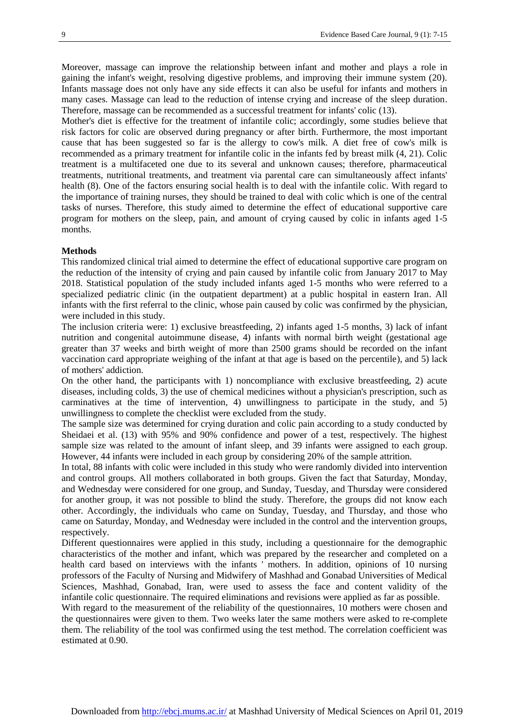Moreover, massage can improve the relationship between infant and mother and plays a role in gaining the infant's weight, resolving digestive problems, and improving their immune system (20). Infants massage does not only have any side effects it can also be useful for infants and mothers in many cases. Massage can lead to the reduction of intense crying and increase of the sleep duration. Therefore, massage can be recommended as a successful treatment for infants' colic (13).

Mother's diet is effective for the treatment of infantile colic; accordingly, some studies believe that risk factors for colic are observed during pregnancy or after birth. Furthermore, the most important cause that has been suggested so far is the allergy to cow's milk. A diet free of cow's milk is recommended as a primary treatment for infantile colic in the infants fed by breast milk (4, 21). Colic treatment is a multifaceted one due to its several and unknown causes; therefore, pharmaceutical treatments, nutritional treatments, and treatment via parental care can simultaneously affect infants' health (8). One of the factors ensuring social health is to deal with the infantile colic. With regard to the importance of training nurses, they should be trained to deal with colic which is one of the central tasks of nurses. Therefore, this study aimed to determine the effect of educational supportive care program for mothers on the sleep, pain, and amount of crying caused by colic in infants aged 1-5 months.

#### **Methods**

This randomized clinical trial aimed to determine the effect of educational supportive care program on the reduction of the intensity of crying and pain caused by infantile colic from January 2017 to May 2018. Statistical population of the study included infants aged 1-5 months who were referred to a specialized pediatric clinic (in the outpatient department) at a public hospital in eastern Iran. All infants with the first referral to the clinic, whose pain caused by colic was confirmed by the physician, were included in this study.

The inclusion criteria were: 1) exclusive breastfeeding, 2) infants aged 1-5 months, 3) lack of infant nutrition and congenital autoimmune disease, 4) infants with normal birth weight (gestational age greater than 37 weeks and birth weight of more than 2500 grams should be recorded on the infant vaccination card appropriate weighing of the infant at that age is based on the percentile), and 5) lack of mothers' addiction.

On the other hand, the participants with 1) noncompliance with exclusive breastfeeding, 2) acute diseases, including colds, 3) the use of chemical medicines without a physician's prescription, such as carminatives at the time of intervention, 4) unwillingness to participate in the study, and 5) unwillingness to complete the checklist were excluded from the study.

The sample size was determined for crying duration and colic pain according to a study conducted by Sheidaei et al. (13) with 95% and 90% confidence and power of a test, respectively. The highest sample size was related to the amount of infant sleep, and 39 infants were assigned to each group. However, 44 infants were included in each group by considering 20% of the sample attrition.

In total, 88 infants with colic were included in this study who were randomly divided into intervention and control groups. All mothers collaborated in both groups. Given the fact that Saturday, Monday, and Wednesday were considered for one group, and Sunday, Tuesday, and Thursday were considered for another group, it was not possible to blind the study. Therefore, the groups did not know each other. Accordingly, the individuals who came on Sunday, Tuesday, and Thursday, and those who came on Saturday, Monday, and Wednesday were included in the control and the intervention groups, respectively.

Different questionnaires were applied in this study, including a questionnaire for the demographic characteristics of the mother and infant, which was prepared by the researcher and completed on a health card based on interviews with the infants ' mothers. In addition, opinions of 10 nursing professors of the Faculty of Nursing and Midwifery of Mashhad and Gonabad Universities of Medical Sciences, Mashhad, Gonabad, Iran, were used to assess the face and content validity of the infantile colic questionnaire. The required eliminations and revisions were applied as far as possible.

With regard to the measurement of the reliability of the questionnaires, 10 mothers were chosen and the questionnaires were given to them. Two weeks later the same mothers were asked to re-complete them. The reliability of the tool was confirmed using the test method. The correlation coefficient was estimated at 0.90.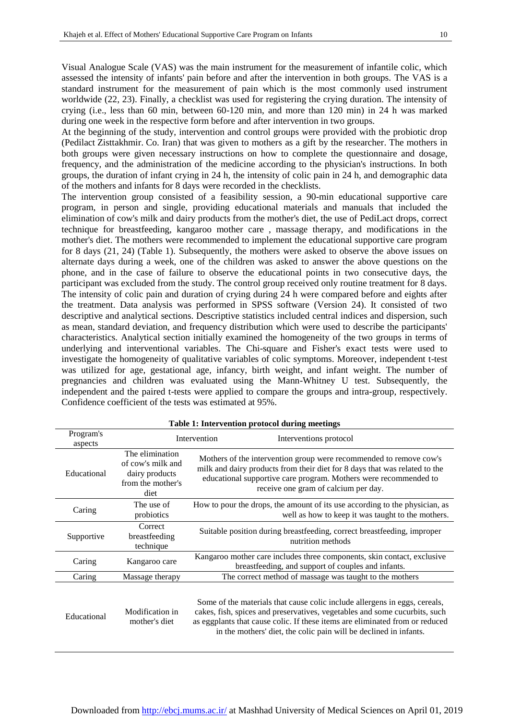Visual Analogue Scale (VAS) was the main instrument for the measurement of infantile colic, which assessed the intensity of infants' pain before and after the intervention in both groups. The VAS is a standard instrument for the measurement of pain which is the most commonly used instrument worldwide (22, 23). Finally, a checklist was used for registering the crying duration. The intensity of crying (i.e., less than 60 min, between 60-120 min, and more than 120 min) in 24 h was marked during one week in the respective form before and after intervention in two groups.

At the beginning of the study, intervention and control groups were provided with the probiotic drop (Pedilact Zisttakhmir. Co. Iran) that was given to mothers as a gift by the researcher. The mothers in both groups were given necessary instructions on how to complete the questionnaire and dosage, frequency, and the administration of the medicine according to the physician's instructions. In both groups, the duration of infant crying in 24 h, the intensity of colic pain in 24 h, and demographic data of the mothers and infants for 8 days were recorded in the checklists.

The intervention group consisted of a feasibility session, a 90-min educational supportive care program, in person and single, providing educational materials and manuals that included the elimination of cow's milk and dairy products from the mother's diet, the use of PediLact drops, correct technique for breastfeeding, kangaroo mother care , massage therapy, and modifications in the mother's diet. The mothers were recommended to implement the educational supportive care program for 8 days (21, 24) (Table 1). Subsequently, the mothers were asked to observe the above issues on alternate days during a week, one of the children was asked to answer the above questions on the phone, and in the case of failure to observe the educational points in two consecutive days, the participant was excluded from the study. The control group received only routine treatment for 8 days. The intensity of colic pain and duration of crying during 24 h were compared before and eights after the treatment. Data analysis was performed in SPSS software (Version 24). It consisted of two descriptive and analytical sections. Descriptive statistics included central indices and dispersion, such as mean, standard deviation, and frequency distribution which were used to describe the participants' characteristics. Analytical section initially examined the homogeneity of the two groups in terms of underlying and interventional variables. The Chi-square and Fisher's exact tests were used to investigate the homogeneity of qualitative variables of colic symptoms. Moreover, independent t-test was utilized for age, gestational age, infancy, birth weight, and infant weight. The number of pregnancies and children was evaluated using the Mann-Whitney U test. Subsequently, the independent and the paired t-tests were applied to compare the groups and intra-group, respectively. Confidence coefficient of the tests was estimated at 95%.

| Program's<br>aspects | Intervention                                                                        |  | Interventions protocol                                                                                                                                                                                                                                                                                        |  |
|----------------------|-------------------------------------------------------------------------------------|--|---------------------------------------------------------------------------------------------------------------------------------------------------------------------------------------------------------------------------------------------------------------------------------------------------------------|--|
| Educational          | The elimination<br>of cow's milk and<br>dairy products<br>from the mother's<br>diet |  | Mothers of the intervention group were recommended to remove cow's<br>milk and dairy products from their diet for 8 days that was related to the<br>educational supportive care program. Mothers were recommended to<br>receive one gram of calcium per day.                                                  |  |
| Caring               | The use of<br>probiotics                                                            |  | How to pour the drops, the amount of its use according to the physician, as<br>well as how to keep it was taught to the mothers.                                                                                                                                                                              |  |
| Supportive           | Correct<br>breastfeeding<br>technique                                               |  | Suitable position during breastfeeding, correct breastfeeding, improper<br>nutrition methods                                                                                                                                                                                                                  |  |
| Caring               | Kangaroo care                                                                       |  | Kangaroo mother care includes three components, skin contact, exclusive<br>breastfeeding, and support of couples and infants.                                                                                                                                                                                 |  |
| Caring               | Massage therapy                                                                     |  | The correct method of massage was taught to the mothers                                                                                                                                                                                                                                                       |  |
| Educational          | Modification in<br>mother's diet                                                    |  | Some of the materials that cause colic include allergens in eggs, cereals,<br>cakes, fish, spices and preservatives, vegetables and some cucurbits, such<br>as eggplants that cause colic. If these items are eliminated from or reduced<br>in the mothers' diet, the colic pain will be declined in infants. |  |

**Table 1: Intervention protocol during meetings**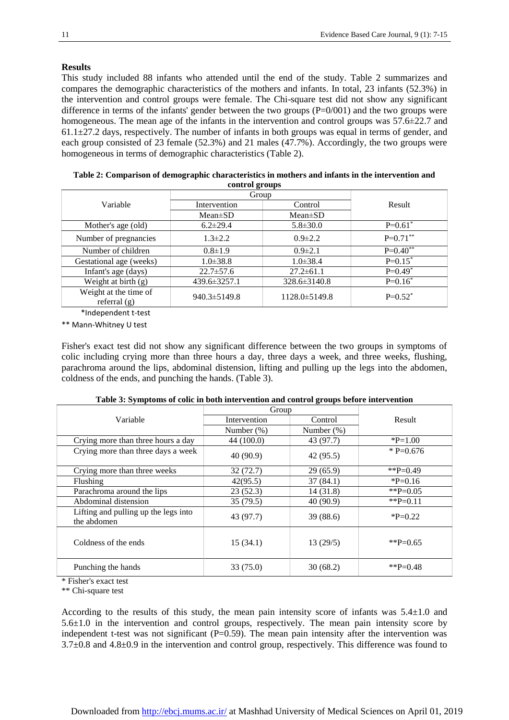#### **Results**

This study included 88 infants who attended until the end of the study. Table 2 summarizes and compares the demographic characteristics of the mothers and infants. In total, 23 infants (52.3%) in the intervention and control groups were female. The Chi-square test did not show any significant difference in terms of the infants' gender between the two groups  $(P=0/001)$  and the two groups were homogeneous. The mean age of the infants in the intervention and control groups was  $57.6\pm 22.7$  and  $61.1\pm27.2$  days, respectively. The number of infants in both groups was equal in terms of gender, and each group consisted of 23 female (52.3%) and 21 males (47.7%). Accordingly, the two groups were homogeneous in terms of demographic characteristics (Table 2).

| control groups                          |                    |                     |                       |  |  |  |
|-----------------------------------------|--------------------|---------------------|-----------------------|--|--|--|
|                                         | Group              |                     |                       |  |  |  |
| Variable                                | Intervention       | Control             | Result                |  |  |  |
|                                         | $Mean \pm SD$      | $Mean \pm SD$       |                       |  |  |  |
| Mother's age (old)                      | $6.2 \pm 29.4$     | $5.8 \pm 30.0$      | $P=0.61$ <sup>*</sup> |  |  |  |
| Number of pregnancies                   | $1.3 \pm 2.2$      | $0.9 \pm 2.2$       | $P=0.71***$           |  |  |  |
| Number of children                      | $0.8 \pm 1.9$      | $0.9 \pm 2.1$       | $P=0.40**$            |  |  |  |
| Gestational age (weeks)                 | $1.0 \pm 38.8$     | $1.0 \pm 38.4$      | $P=0.15^*$            |  |  |  |
| Infant's age (days)                     | $22.7 \pm 57.6$    | $27.2 \pm 61.1$     | $P=0.49^*$            |  |  |  |
| Weight at birth (g)                     | $439.6 \pm 3257.1$ | $328.6 \pm 3140.8$  | $P=0.16*$             |  |  |  |
| Weight at the time of<br>referral $(g)$ | $940.3 \pm 5149.8$ | $1128.0 \pm 5149.8$ | $P=0.52^*$            |  |  |  |

| Table 2: Comparison of demographic characteristics in mothers and infants in the intervention and |
|---------------------------------------------------------------------------------------------------|
| control groups                                                                                    |

\*Independent t-test

\*\* Mann-Whitney U test

Fisher's exact test did not show any significant difference between the two groups in symptoms of colic including crying more than three hours a day, three days a week, and three weeks, flushing, parachroma around the lips, abdominal distension, lifting and pulling up the legs into the abdomen, coldness of the ends, and punching the hands. (Table 3).

|                                                     | Group         |               |                  |
|-----------------------------------------------------|---------------|---------------|------------------|
| Variable                                            | Intervention  | Control       | Result           |
|                                                     | Number $(\%)$ | Number $(\%)$ |                  |
| Crying more than three hours a day                  | 44 (100.0)    | 43 (97.7)     | $_{\rm *P=1.00}$ |
| Crying more than three days a week                  | 40(90.9)      | 42 (95.5)     | $*P=0.676$       |
| Crying more than three weeks                        | 32(72.7)      | 29(65.9)      | ** $P=0.49$      |
| Flushing                                            | 42(95.5)      | 37(84.1)      | $P=0.16$         |
| Parachroma around the lips                          | 23(52.3)      | 14(31.8)      | ** $P=0.05$      |
| Abdominal distension                                | 35 (79.5)     | 40(90.9)      | $*$ $P=0.11$     |
| Lifting and pulling up the legs into<br>the abdomen | 43 (97.7)     | 39 (88.6)     |                  |
| Coldness of the ends                                | 15(34.1)      | 13(29/5)      | ** $P=0.65$      |
| Punching the hands                                  | 33(75.0)      | 30(68.2)      | **P=0.48         |

**Table 3: Symptoms of colic in both intervention and control groups before intervention**

\* Fisher's exact test

\*\* Chi-square test

According to the results of this study, the mean pain intensity score of infants was  $5.4\pm1.0$  and 5.6±1.0 in the intervention and control groups, respectively. The mean pain intensity score by independent t-test was not significant  $(P=0.59)$ . The mean pain intensity after the intervention was 3.7±0.8 and 4.8±0.9 in the intervention and control group, respectively. This difference was found to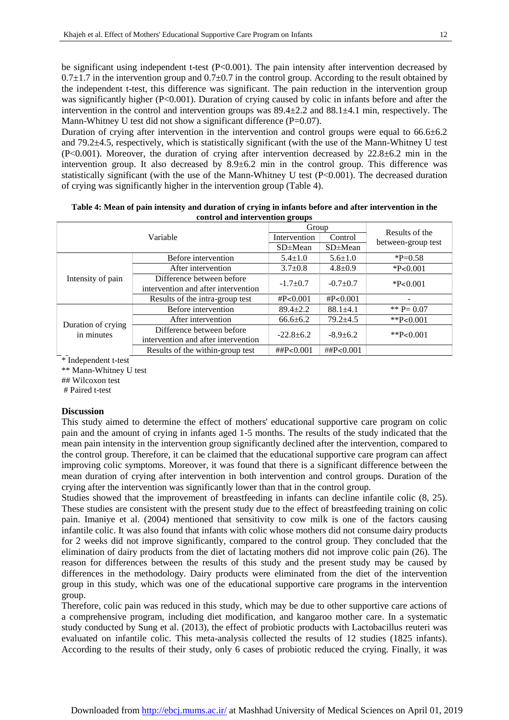be significant using independent t-test (P<0.001). The pain intensity after intervention decreased by  $0.7\pm1.7$  in the intervention group and  $0.7\pm0.7$  in the control group. According to the result obtained by the independent t-test, this difference was significant. The pain reduction in the intervention group was significantly higher (P<0.001). Duration of crying caused by colic in infants before and after the intervention in the control and intervention groups was  $89.4 \pm 2.2$  and  $88.1 \pm 4.1$  min, respectively. The Mann-Whitney U test did not show a significant difference (P=0.07).

Duration of crying after intervention in the intervention and control groups were equal to  $66.6\pm6.2$ and 79.2±4.5, respectively, which is statistically significant (with the use of the Mann-Whitney U test  $(P<0.001)$ . Moreover, the duration of crying after intervention decreased by 22.8 $\pm$ 6.2 min in the intervention group. It also decreased by 8.9±6.2 min in the control group. This difference was statistically significant (with the use of the Mann-Whitney U test  $(P< 0.001)$ ). The decreased duration of crying was significantly higher in the intervention group (Table 4).

| Variable                         |                                                                  | Group          |                | Results of the     |
|----------------------------------|------------------------------------------------------------------|----------------|----------------|--------------------|
|                                  |                                                                  | Intervention   | Control        | between-group test |
|                                  |                                                                  | $SD \pm Mean$  | $SD \pm Mean$  |                    |
| Intensity of pain                | Before intervention                                              | $5.4 \pm 1.0$  | $5.6 \pm 1.0$  | $P=0.58$           |
|                                  | After intervention                                               | $3.7 \pm 0.8$  | $4.8 \pm 0.9$  | $*P<0.001$         |
|                                  | Difference between before<br>intervention and after intervention | $-1.7+0.7$     | $-0.7+0.7$     | $*P<0.001$         |
|                                  | Results of the intra-group test                                  | #P<0.001       | #P<0.001       | -                  |
| Duration of crying<br>in minutes | Before intervention                                              | $89.4 \pm 2.2$ | $88.1 \pm 4.1$ | ** $P = 0.07$      |
|                                  | After intervention                                               | $66.6 \pm 6.2$ | $79.2 + 4.5$   | ** $P<0.001$       |
|                                  | Difference between before<br>intervention and after intervention | $-22.8+6.2$    | $-8.9+6.2$     | ** $P< 0.001$      |
|                                  | Results of the within-group test                                 | $\#$ #P<0.001  | $\#$ #P<0.001  |                    |

#### **Table 4: Mean of pain intensity and duration of crying in infants before and after intervention in the control and intervention groups**

\* Independent t-test

\*\* Mann-Whitney U test

## Wilcoxon test

# Paired t-test

#### **Discussion**

This study aimed to determine the effect of mothers' educational supportive care program on colic pain and the amount of crying in infants aged 1-5 months. The results of the study indicated that the mean pain intensity in the intervention group significantly declined after the intervention, compared to the control group. Therefore, it can be claimed that the educational supportive care program can affect improving colic symptoms. Moreover, it was found that there is a significant difference between the mean duration of crying after intervention in both intervention and control groups. Duration of the crying after the intervention was significantly lower than that in the control group.

Studies showed that the improvement of breastfeeding in infants can decline infantile colic (8, 25). These studies are consistent with the present study due to the effect of breastfeeding training on colic pain. Imaniye et al. (2004) mentioned that sensitivity to cow milk is one of the factors causing infantile colic. It was also found that infants with colic whose mothers did not consume dairy products for 2 weeks did not improve significantly, compared to the control group. They concluded that the elimination of dairy products from the diet of lactating mothers did not improve colic pain (26). The reason for differences between the results of this study and the present study may be caused by differences in the methodology. Dairy products were eliminated from the diet of the intervention group in this study, which was one of the educational supportive care programs in the intervention group.

Therefore, colic pain was reduced in this study, which may be due to other supportive care actions of a comprehensive program, including diet modification, and kangaroo mother care. In a systematic study conducted by Sung et al. (2013), the effect of probiotic products with Lactobacillus reuteri was evaluated on infantile colic. This meta-analysis collected the results of 12 studies (1825 infants). According to the results of their study, only 6 cases of probiotic reduced the crying. Finally, it was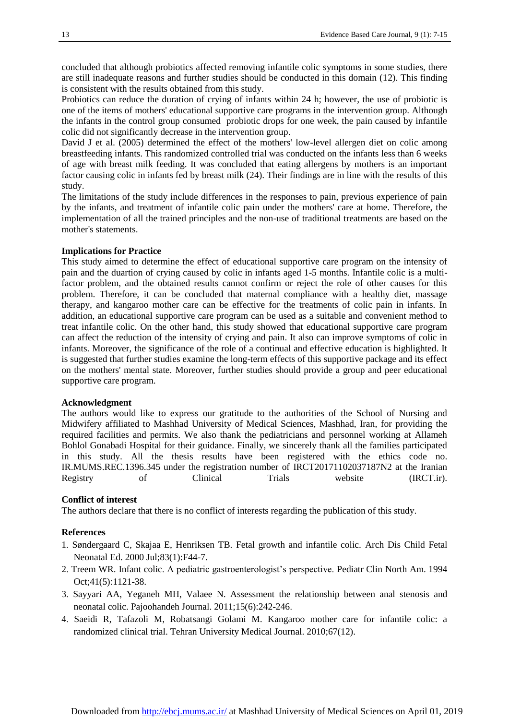concluded that although probiotics affected removing infantile colic symptoms in some studies, there are still inadequate reasons and further studies should be conducted in this domain (12). This finding is consistent with the results obtained from this study.

Probiotics can reduce the duration of crying of infants within 24 h; however, the use of probiotic is one of the items of mothers' educational supportive care programs in the intervention group. Although the infants in the control group consumed probiotic drops for one week, the pain caused by infantile colic did not significantly decrease in the intervention group.

David J et al. (2005) determined the effect of the mothers' low-level allergen diet on colic among breastfeeding infants. This randomized controlled trial was conducted on the infants less than 6 weeks of age with breast milk feeding. It was concluded that eating allergens by mothers is an important factor causing colic in infants fed by breast milk (24). Their findings are in line with the results of this study.

The limitations of the study include differences in the responses to pain, previous experience of pain by the infants, and treatment of infantile colic pain under the mothers' care at home. Therefore, the implementation of all the trained principles and the non-use of traditional treatments are based on the mother's statements.

#### **Implications for Practice**

This study aimed to determine the effect of educational supportive care program on the intensity of pain and the duartion of crying caused by colic in infants aged 1-5 months. Infantile colic is a multifactor problem, and the obtained results cannot confirm or reject the role of other causes for this problem. Therefore, it can be concluded that maternal compliance with a healthy diet, massage therapy, and kangaroo mother care can be effective for the treatments of colic pain in infants. In addition, an educational supportive care program can be used as a suitable and convenient method to treat infantile colic. On the other hand, this study showed that educational supportive care program can affect the reduction of the intensity of crying and pain. It also can improve symptoms of colic in infants. Moreover, the significance of the role of a continual and effective education is highlighted. It is suggested that further studies examine the long-term effects of this supportive package and its effect on the mothers' mental state. Moreover, further studies should provide a group and peer educational supportive care program.

#### **Acknowledgment**

The authors would like to express our gratitude to the authorities of the School of Nursing and Midwifery affiliated to Mashhad University of Medical Sciences, Mashhad, Iran, for providing the required facilities and permits. We also thank the pediatricians and personnel working at Allameh Bohlol Gonabadi Hospital for their guidance. Finally, we sincerely thank all the families participated in this study. All the thesis results have been registered with the ethics code no. IR.MUMS.REC.1396.345 under the registration number of IRCT20171102037187N2 at the Iranian Registry of Clinical Trials website (IRCT.ir).

#### **Conflict of interest**

The authors declare that there is no conflict of interests regarding the publication of this study.

#### **References**

- 1. Søndergaard C, Skajaa E, Henriksen TB. Fetal growth and infantile colic. [Arch Dis Child Fetal](https://www.ncbi.nlm.nih.gov/pubmed/?term=Fetal+growth+and+infantile+colic.+Archives+of+Disease+in+Childhood-Fetal+and+Neonatal+Edition)  [Neonatal Ed.](https://www.ncbi.nlm.nih.gov/pubmed/?term=Fetal+growth+and+infantile+colic.+Archives+of+Disease+in+Childhood-Fetal+and+Neonatal+Edition) 2000 Jul;83(1):F44-7.
- 2. Treem WR. Infant colic. A pediatric gastroenterologist's perspective. [Pediatr Clin North Am.](https://www.ncbi.nlm.nih.gov/pubmed/?term=Infant+colic%3A+A+pediatric+gastroenterologist%E2%80%99s+perspective) 1994 Oct;41(5):1121-38.
- 3. Sayyari AA, Yeganeh MH, Valaee N. Assessment the relationship between anal stenosis and neonatal colic. Pajoohandeh Journal. 2011;15(6):242-246.
- 4. Saeidi R, Tafazoli M, Robatsangi Golami M. Kangaroo mother care for infantile colic: a randomized clinical trial. Tehran University Medical Journal. 2010;67(12).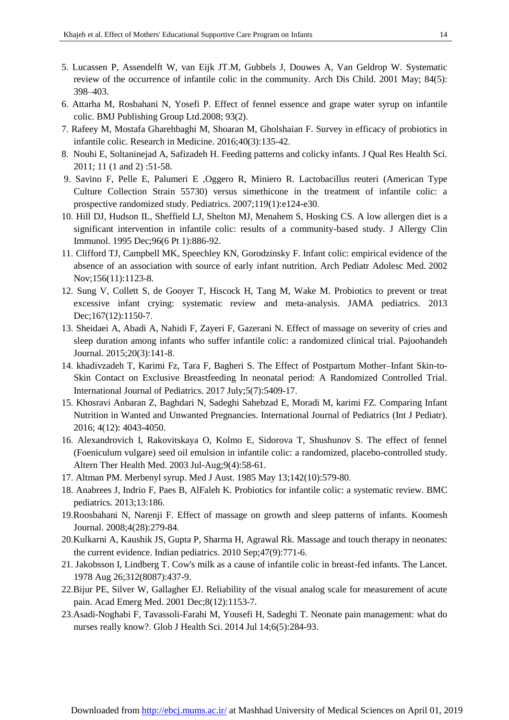- 5. Lucassen P, Assendelft W, van Eijk JT.M, Gubbels J, Douwes A, Van Geldrop W. Systematic review of the occurrence of infantile colic in the community. [Arch Dis Child.](https://www.ncbi.nlm.nih.gov/pmc/articles/PMC1718751/) 2001 May; 84(5): 398–403.
- 6. Attarha M, Rosbahani N, Yosefi P. Effect of fennel essence and grape water syrup on infantile colic. BMJ Publishing Group Ltd.2008; 93(2).
- 7. Rafeey M, Mostafa Gharehbaghi M, Shoaran M, Gholshaian F. Survey in efficacy of probiotics in infantile colic. Research in Medicine. 2016;40(3):135-42.
- 8. Nouhi E, Soltaninejad A, Safizadeh H. Feeding patterns and colicky infants. J Qual Res Health Sci. 2011; 11 (1 and 2) :51-58.
- 9. Savino F, Pelle E, Palumeri E ,Oggero R, Miniero R. Lactobacillus reuteri (American Type Culture Collection Strain 55730) versus simethicone in the treatment of infantile colic: a prospective randomized study. Pediatrics. 2007;119(1):e124-e30.
- 10. Hill DJ, Hudson IL, Sheffield LJ, Shelton MJ, Menahem S, Hosking CS. A low allergen diet is a significant intervention in infantile colic: results of a community-based study. [J Allergy Clin](https://www.ncbi.nlm.nih.gov/pubmed/?term=A+low+allergen+diet+is+a+significant+intervention+in+infantile+colic%3A+results+of+a+community-based+study)  [Immunol.](https://www.ncbi.nlm.nih.gov/pubmed/?term=A+low+allergen+diet+is+a+significant+intervention+in+infantile+colic%3A+results+of+a+community-based+study) 1995 Dec;96(6 Pt 1):886-92.
- 11. Clifford TJ, Campbell MK, Speechley KN, Gorodzinsky F. Infant colic: empirical evidence of the absence of an association with source of early infant nutrition. [Arch Pediatr Adolesc Med.](https://www.ncbi.nlm.nih.gov/pubmed/?term=Infant+colic%3A+empirical+evidence+of+the+absence+of+an+association+with+source+of+early+infant+nutrition) 2002 Nov;156(11):1123-8.
- 12. Sung V, Collett S, de Gooyer T, Hiscock H, Tang M, Wake M. Probiotics to prevent or treat excessive infant crying: systematic review and meta-analysis. JAMA pediatrics. 2013 Dec;167(12):1150-7.
- 13. Sheidaei A, Abadi A, Nahidi F, Zayeri F, Gazerani N. Effect of massage on severity of cries and sleep duration among infants who suffer infantile colic: a randomized clinical trial. Pajoohandeh Journal. 2015;20(3):141-8.
- 14. khadivzadeh T, Karimi Fz, Tara F, Bagheri S. The Effect of Postpartum Mother–Infant Skin-to-Skin Contact on Exclusive Breastfeeding In neonatal period: A Randomized Controlled Trial. International Journal of Pediatrics. 2017 July;5(7):5409-17.
- 15. Khosravi Anbaran Z, Baghdari N, Sadeghi Sahebzad E, Moradi M, karimi FZ. Comparing Infant Nutrition in Wanted and Unwanted Pregnancies. International Journal of Pediatrics (Int J Pediatr). 2016; 4(12): 4043-4050.
- 16. Alexandrovich I, Rakovitskaya O, Kolmo E, Sidorova T, Shushunov S. The effect of fennel (Foeniculum vulgare) seed oil emulsion in infantile colic: a randomized, placebo-controlled study. [Altern Ther Health Med.](https://www.ncbi.nlm.nih.gov/pubmed/?term=The+effect+of+fennel+(Foeniculum+vulgare)+seed+oil+emulsion+in+infantile+colic%3A+a+randomized%2C+placebo-controlled+study) 2003 Jul-Aug;9(4):58-61.
- 17. Altman PM. Merbenyl syrup. Med J Aust. 1985 May 13;142(10):579-80.
- 18. Anabrees J, Indrio F, Paes B, AlFaleh K. Probiotics for infantile colic: a systematic review. BMC pediatrics. 2013;13:186.
- 19.Roosbahani N, Narenji F. Effect of massage on growth and sleep patterns of infants. Koomesh Journal. 2008;4(28):279-84.
- 20.Kulkarni A, Kaushik JS, Gupta P, Sharma H, Agrawal Rk. Massage and touch therapy in neonates: the current evidence. Indian pediatrics. 2010 Sep;47(9):771-6.
- 21. Jakobsson I, Lindberg T. Cow's milk as a cause of infantile colic in breast-fed infants. The Lancet. 1978 Aug 26;312(8087):437-9.
- 22.Bijur PE, Silver W, Gallagher EJ. Reliability of the visual analog scale for measurement of acute pain[. Acad Emerg Med.](https://www.ncbi.nlm.nih.gov/pubmed/11733293) 2001 Dec;8(12):1153-7.
- 23.Asadi-Noghabi F, Tavassoli-Farahi M, Yousefi H, Sadeghi T. Neonate pain management: what do nurses really know?. [Glob J Health Sci.](https://www.ncbi.nlm.nih.gov/pubmed/?term=Tavassoli-Farahi+M) 2014 Jul 14;6(5):284-93.